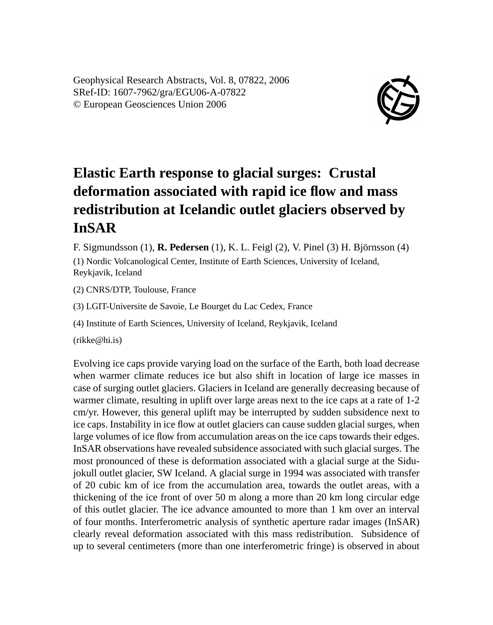Geophysical Research Abstracts, Vol. 8, 07822, 2006 SRef-ID: 1607-7962/gra/EGU06-A-07822 © European Geosciences Union 2006



## **Elastic Earth response to glacial surges: Crustal deformation associated with rapid ice flow and mass redistribution at Icelandic outlet glaciers observed by InSAR**

F. Sigmundsson (1), **R. Pedersen** (1), K. L. Feigl (2), V. Pinel (3) H. Björnsson (4)

(1) Nordic Volcanological Center, Institute of Earth Sciences, University of Iceland, Reykjavik, Iceland

(2) CNRS/DTP, Toulouse, France

(3) LGIT-Universite de Savoie, Le Bourget du Lac Cedex, France

(4) Institute of Earth Sciences, University of Iceland, Reykjavik, Iceland

(rikke@hi.is)

Evolving ice caps provide varying load on the surface of the Earth, both load decrease when warmer climate reduces ice but also shift in location of large ice masses in case of surging outlet glaciers. Glaciers in Iceland are generally decreasing because of warmer climate, resulting in uplift over large areas next to the ice caps at a rate of 1-2 cm/yr. However, this general uplift may be interrupted by sudden subsidence next to ice caps. Instability in ice flow at outlet glaciers can cause sudden glacial surges, when large volumes of ice flow from accumulation areas on the ice caps towards their edges. InSAR observations have revealed subsidence associated with such glacial surges. The most pronounced of these is deformation associated with a glacial surge at the Sidujokull outlet glacier, SW Iceland. A glacial surge in 1994 was associated with transfer of 20 cubic km of ice from the accumulation area, towards the outlet areas, with a thickening of the ice front of over 50 m along a more than 20 km long circular edge of this outlet glacier. The ice advance amounted to more than 1 km over an interval of four months. Interferometric analysis of synthetic aperture radar images (InSAR) clearly reveal deformation associated with this mass redistribution. Subsidence of up to several centimeters (more than one interferometric fringe) is observed in about